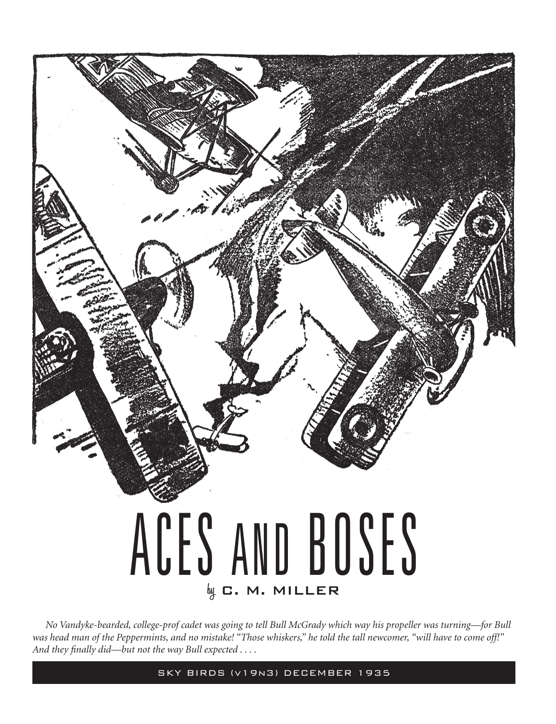## ACES AND BOSES **by** C. M. MILLER

*No Vandyke-bearded, college-prof cadet was going to tell Bull McGrady which way his propeller was turning—for Bull was head man of the Peppermints, and no mistake! "Those whiskers," he told the tall newcomer, "will have to come off!" And they finally did—but not the way Bull expected . . . .*

SKY BIRDS (v19n3) DECEMBER 1935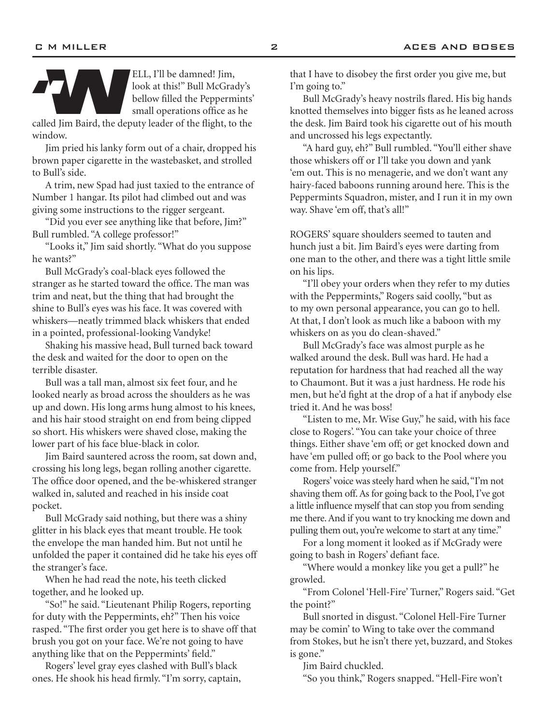

ELL, I'll be damned! Jim,<br>
look at this!" Bull McGrady's<br>
bellow filled the Peppermints'<br>
small operations office as he<br>
called Jim Baird, the deputy leader of the flight, to the look at this!" Bull McGrady's bellow filled the Peppermints' small operations office as he

window.

Jim pried his lanky form out of a chair, dropped his brown paper cigarette in the wastebasket, and strolled to Bull's side.

A trim, new Spad had just taxied to the entrance of Number 1 hangar. Its pilot had climbed out and was giving some instructions to the rigger sergeant.

"Did you ever see anything like that before, Jim?" Bull rumbled. "A college professor!"

"Looks it," Jim said shortly. "What do you suppose he wants?"

Bull McGrady's coal-black eyes followed the stranger as he started toward the office. The man was trim and neat, but the thing that had brought the shine to Bull's eyes was his face. It was covered with whiskers—neatly trimmed black whiskers that ended in a pointed, professional-looking Vandyke!

Shaking his massive head, Bull turned back toward the desk and waited for the door to open on the terrible disaster.

Bull was a tall man, almost six feet four, and he looked nearly as broad across the shoulders as he was up and down. His long arms hung almost to his knees, and his hair stood straight on end from being clipped so short. His whiskers were shaved close, making the lower part of his face blue-black in color.

Jim Baird sauntered across the room, sat down and, crossing his long legs, began rolling another cigarette. The office door opened, and the be-whiskered stranger walked in, saluted and reached in his inside coat pocket.

Bull McGrady said nothing, but there was a shiny glitter in his black eyes that meant trouble. He took the envelope the man handed him. But not until he unfolded the paper it contained did he take his eyes off the stranger's face.

When he had read the note, his teeth clicked together, and he looked up.

"So!" he said. "Lieutenant Philip Rogers, reporting for duty with the Peppermints, eh?" Then his voice rasped. "The first order you get here is to shave off that brush you got on your face. We're not going to have anything like that on the Peppermints' field."

Rogers' level gray eyes clashed with Bull's black ones. He shook his head firmly. "I'm sorry, captain, that I have to disobey the first order you give me, but I'm going to."

Bull McGrady's heavy nostrils flared. His big hands knotted themselves into bigger fists as he leaned across the desk. Jim Baird took his cigarette out of his mouth and uncrossed his legs expectantly.

"A hard guy, eh?" Bull rumbled. "You'll either shave those whiskers off or I'll take you down and yank 'em out. This is no menagerie, and we don't want any hairy-faced baboons running around here. This is the Peppermints Squadron, mister, and I run it in my own way. Shave 'em off, that's all!"

ROGERS' square shoulders seemed to tauten and hunch just a bit. Jim Baird's eyes were darting from one man to the other, and there was a tight little smile on his lips.

"I'll obey your orders when they refer to my duties with the Peppermints," Rogers said coolly, "but as to my own personal appearance, you can go to hell. At that, I don't look as much like a baboon with my whiskers on as you do clean-shaved."

Bull McGrady's face was almost purple as he walked around the desk. Bull was hard. He had a reputation for hardness that had reached all the way to Chaumont. But it was a just hardness. He rode his men, but he'd fight at the drop of a hat if anybody else tried it. And he was boss!

"Listen to me, Mr. Wise Guy," he said, with his face close to Rogers'. "You can take your choice of three things. Either shave 'em off; or get knocked down and have 'em pulled off; or go back to the Pool where you come from. Help yourself."

Rogers' voice was steely hard when he said, "I'm not shaving them off. As for going back to the Pool, I've got a little influence myself that can stop you from sending me there. And if you want to try knocking me down and pulling them out, you're welcome to start at any time."

For a long moment it looked as if McGrady were going to bash in Rogers' defiant face.

"Where would a monkey like you get a pull?" he growled.

"From Colonel 'Hell-Fire' Turner," Rogers said. "Get the point?"

Bull snorted in disgust. "Colonel Hell-Fire Turner may be comin' to Wing to take over the command from Stokes, but he isn't there yet, buzzard, and Stokes is gone."

Jim Baird chuckled.

"So you think," Rogers snapped. "Hell-Fire won't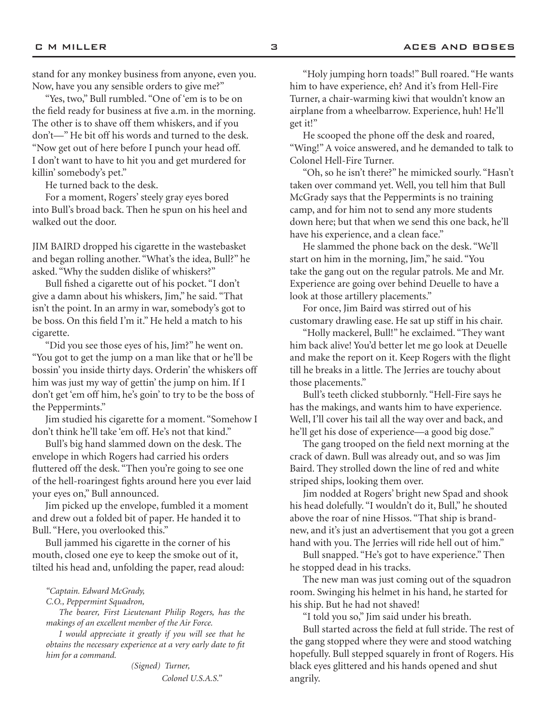stand for any monkey business from anyone, even you. Now, have you any sensible orders to give me?"

"Yes, two," Bull rumbled. "One of 'em is to be on the field ready for business at five a.m. in the morning. The other is to shave off them whiskers, and if you don't—" He bit off his words and turned to the desk. "Now get out of here before I punch your head off. I don't want to have to hit you and get murdered for killin' somebody's pet."

He turned back to the desk.

For a moment, Rogers' steely gray eyes bored into Bull's broad back. Then he spun on his heel and walked out the door.

JIM BAIRD dropped his cigarette in the wastebasket and began rolling another. "What's the idea, Bull?" he asked. "Why the sudden dislike of whiskers?"

Bull fished a cigarette out of his pocket. "I don't give a damn about his whiskers, Jim," he said. "That isn't the point. In an army in war, somebody's got to be boss. On this field I'm it." He held a match to his cigarette.

"Did you see those eyes of his, Jim?" he went on. "You got to get the jump on a man like that or he'll be bossin' you inside thirty days. Orderin' the whiskers off him was just my way of gettin' the jump on him. If I don't get 'em off him, he's goin' to try to be the boss of the Peppermints."

Jim studied his cigarette for a moment. "Somehow I don't think he'll take 'em off. He's not that kind."

Bull's big hand slammed down on the desk. The envelope in which Rogers had carried his orders fluttered off the desk. "Then you're going to see one of the hell-roaringest fights around here you ever laid your eyes on," Bull announced.

Jim picked up the envelope, fumbled it a moment and drew out a folded bit of paper. He handed it to Bull. "Here, you overlooked this."

Bull jammed his cigarette in the corner of his mouth, closed one eye to keep the smoke out of it, tilted his head and, unfolding the paper, read aloud:

*"Captain. Edward McGrady,* 

*C.O., Peppermint Squadron,*

*The bearer, First Lieutenant Philip Rogers, has the makings of an excellent member of the Air Force.*

*I would appreciate it greatly if you will see that he obtains the necessary experience at a very early date to fit him for a command.*

> *(Signed) Turner, Colonel U.S.A.S."*

"Holy jumping horn toads!" Bull roared. "He wants him to have experience, eh? And it's from Hell-Fire Turner, a chair-warming kiwi that wouldn't know an airplane from a wheelbarrow. Experience, huh! He'll get it!"

He scooped the phone off the desk and roared, "Wing!" A voice answered, and he demanded to talk to Colonel Hell-Fire Turner.

"Oh, so he isn't there?" he mimicked sourly. "Hasn't taken over command yet. Well, you tell him that Bull McGrady says that the Peppermints is no training camp, and for him not to send any more students down here; but that when we send this one back, he'll have his experience, and a clean face."

He slammed the phone back on the desk. "We'll start on him in the morning, Jim," he said. "You take the gang out on the regular patrols. Me and Mr. Experience are going over behind Deuelle to have a look at those artillery placements."

For once, Jim Baird was stirred out of his customary drawling ease. He sat up stiff in his chair.

"Holly mackerel, Bull!" he exclaimed. "They want him back alive! You'd better let me go look at Deuelle and make the report on it. Keep Rogers with the flight till he breaks in a little. The Jerries are touchy about those placements."

Bull's teeth clicked stubbornly. "Hell-Fire says he has the makings, and wants him to have experience. Well, I'll cover his tail all the way over and back, and he'll get his dose of experience—a good big dose."

The gang trooped on the field next morning at the crack of dawn. Bull was already out, and so was Jim Baird. They strolled down the line of red and white striped ships, looking them over.

Jim nodded at Rogers' bright new Spad and shook his head dolefully. "I wouldn't do it, Bull," he shouted above the roar of nine Hissos. "That ship is brandnew, and it's just an advertisement that you got a green hand with you. The Jerries will ride hell out of him."

Bull snapped. "He's got to have experience." Then he stopped dead in his tracks.

The new man was just coming out of the squadron room. Swinging his helmet in his hand, he started for his ship. But he had not shaved!

"I told you so," Jim said under his breath.

Bull started across the field at full stride. The rest of the gang stopped where they were and stood watching hopefully. Bull stepped squarely in front of Rogers. His black eyes glittered and his hands opened and shut angrily.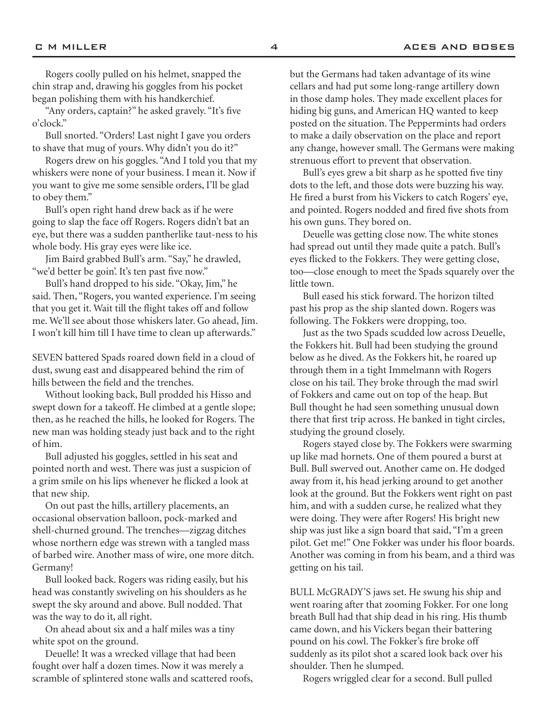Rogers coolly pulled on his helmet, snapped the chin strap and, drawing his goggles from his pocket began polishing them with his handkerchief.

"Any orders, captain?" he asked gravely. "It's five o'clock."

Bull snorted. "Orders! Last night I gave you orders to shave that mug of yours. Why didn't you do it?"

Rogers drew on his goggles. "And I told you that my whiskers were none of your business. I mean it. Now if you want to give me some sensible orders, I'll be glad to obey them."

Bull's open right hand drew back as if he were going to slap the face off Rogers. Rogers didn't bat an eye, but there was a sudden pantherlike taut-ness to his whole body. His gray eyes were like ice.

Jim Baird grabbed Bull's arm. "Say," he drawled, "we'd better be goin'. It's ten past five now."

Bull's hand dropped to his side. "Okay, Jim," he said. Then, "Rogers, you wanted experience. I'm seeing that you get it. Wait till the flight takes off and follow me. We'll see about those whiskers later. Go ahead, Jim. I won't kill him till I have time to clean up afterwards."

SEVEN battered Spads roared down field in a cloud of dust, swung east and disappeared behind the rim of hills between the field and the trenches.

Without looking back, Bull prodded his Hisso and swept down for a takeoff. He climbed at a gentle slope; then, as he reached the hills, he looked for Rogers. The new man was holding steady just back and to the right of him.

Bull adjusted his goggles, settled in his seat and pointed north and west. There was just a suspicion of a grim smile on his lips whenever he flicked a look at that new ship.

On out past the hills, artillery placements, an occasional observation balloon, pock-marked and shell-churned ground. The trenches—zigzag ditches whose northern edge was strewn with a tangled mass of barbed wire. Another mass of wire, one more ditch. Germany!

Bull looked back. Rogers was riding easily, but his head was constantly swiveling on his shoulders as he swept the sky around and above. Bull nodded. That was the way to do it, all right.

On ahead about six and a half miles was a tiny white spot on the ground.

Deuelle! It was a wrecked village that had been fought over half a dozen times. Now it was merely a scramble of splintered stone walls and scattered roofs, but the Germans had taken advantage of its wine cellars and had put some long-range artillery down in those damp holes. They made excellent places for hiding big guns, and American HQ wanted to keep posted on the situation. The Peppermints had orders to make a daily observation on the place and report any change, however small. The Germans were making strenuous effort to prevent that observation.

Bull's eyes grew a bit sharp as he spotted five tiny dots to the left, and those dots were buzzing his way. He fired a burst from his Vickers to catch Rogers' eye, and pointed. Rogers nodded and fired five shots from his own guns. They bored on.

Deuelle was getting close now. The white stones had spread out until they made quite a patch. Bull's eyes flicked to the Fokkers. They were getting close, too—close enough to meet the Spads squarely over the little town.

Bull eased his stick forward. The horizon tilted past his prop as the ship slanted down. Rogers was following. The Fokkers were dropping, too.

Just as the two Spads scudded low across Deuelle, the Fokkers hit. Bull had been studying the ground below as he dived. As the Fokkers hit, he roared up through them in a tight Immelmann with Rogers close on his tail. They broke through the mad swirl of Fokkers and came out on top of the heap. But Bull thought he had seen something unusual down there that first trip across. He banked in tight circles, studying the ground closely.

Rogers stayed close by. The Fokkers were swarming up like mad hornets. One of them poured a burst at Bull. Bull swerved out. Another came on. He dodged away from it, his head jerking around to get another look at the ground. But the Fokkers went right on past him, and with a sudden curse, he realized what they were doing. They were after Rogers! His bright new ship was just like a sign board that said, "I'm a green pilot. Get me!" One Fokker was under his floor boards. Another was coming in from his beam, and a third was getting on his tail.

BULL McGRADY'S jaws set. He swung his ship and went roaring after that zooming Fokker. For one long breath Bull had that ship dead in his ring. His thumb came down, and his Vickers began their battering pound on his cowl. The Fokker's fire broke off suddenly as its pilot shot a scared look back over his shoulder. Then he slumped.

Rogers wriggled clear for a second. Bull pulled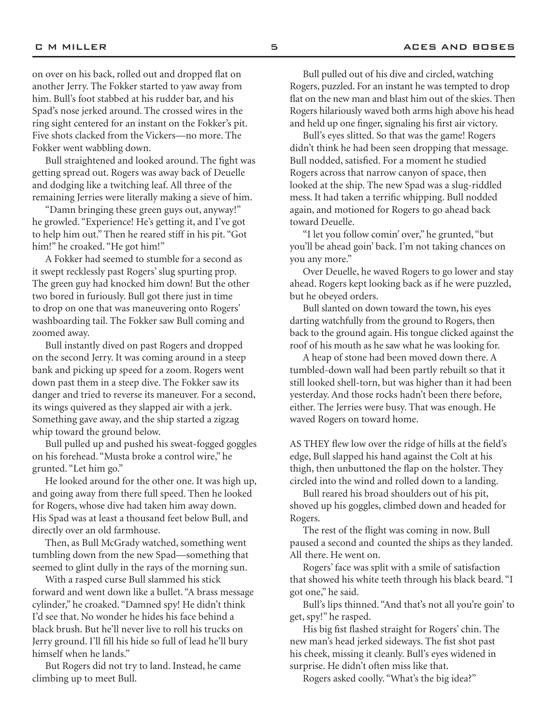on over on his back, rolled out and dropped flat on another Jerry. The Fokker started to yaw away from him. Bull's foot stabbed at his rudder bar, and his Spad's nose jerked around. The crossed wires in the ring sight centered for an instant on the Fokker's pit. Five shots clacked from the Vickers—no more. The Fokker went wabbling down.

Bull straightened and looked around. The fight was getting spread out. Rogers was away back of Deuelle and dodging like a twitching leaf. All three of the remaining Jerries were literally making a sieve of him.

"Damn bringing these green guys out, anyway!" he growled. "Experience! He's getting it, and I've got to help him out." Then he reared stiff in his pit. "Got him!" he croaked. "He got him!"

A Fokker had seemed to stumble for a second as it swept recklessly past Rogers' slug spurting prop. The green guy had knocked him down! But the other two bored in furiously. Bull got there just in time to drop on one that was maneuvering onto Rogers' washboarding tail. The Fokker saw Bull coming and zoomed away.

Bull instantly dived on past Rogers and dropped on the second Jerry. It was coming around in a steep bank and picking up speed for a zoom. Rogers went down past them in a steep dive. The Fokker saw its danger and tried to reverse its maneuver. For a second, its wings quivered as they slapped air with a jerk. Something gave away, and the ship started a zigzag whip toward the ground below.

Bull pulled up and pushed his sweat-fogged goggles on his forehead. "Musta broke a control wire," he grunted. "Let him go."

He looked around for the other one. It was high up, and going away from there full speed. Then he looked for Rogers, whose dive had taken him away down. His Spad was at least a thousand feet below Bull, and directly over an old farmhouse.

Then, as Bull McGrady watched, something went tumbling down from the new Spad—something that seemed to glint dully in the rays of the morning sun.

With a rasped curse Bull slammed his stick forward and went down like a bullet. "A brass message cylinder," he croaked. "Damned spy! He didn't think I'd see that. No wonder he hides his face behind a black brush. But he'll never live to roll his trucks on Jerry ground. I'll fill his hide so full of lead he'll bury himself when he lands."

But Rogers did not try to land. Instead, he came climbing up to meet Bull.

Bull pulled out of his dive and circled, watching Rogers, puzzled. For an instant he was tempted to drop flat on the new man and blast him out of the skies. Then Rogers hilariously waved both arms high above his head and held up one finger, signaling his first air victory.

Bull's eyes slitted. So that was the game! Rogers didn't think he had been seen dropping that message. Bull nodded, satisfied. For a moment he studied Rogers across that narrow canyon of space, then looked at the ship. The new Spad was a slug-riddled mess. It had taken a terrific whipping. Bull nodded again, and motioned for Rogers to go ahead back toward Deuelle.

"I let you follow comin' over," he grunted, "but you'll be ahead goin' back. I'm not taking chances on you any more."

Over Deuelle, he waved Rogers to go lower and stay ahead. Rogers kept looking back as if he were puzzled, but he obeyed orders.

Bull slanted on down toward the town, his eyes darting watchfully from the ground to Rogers, then back to the ground again. His tongue clicked against the roof of his mouth as he saw what he was looking for.

A heap of stone had been moved down there. A tumbled-down wall had been partly rebuilt so that it still looked shell-torn, but was higher than it had been yesterday. And those rocks hadn't been there before, either. The Jerries were busy. That was enough. He waved Rogers on toward home.

AS THEY flew low over the ridge of hills at the field's edge, Bull slapped his hand against the Colt at his thigh, then unbuttoned the flap on the holster. They circled into the wind and rolled down to a landing.

Bull reared his broad shoulders out of his pit, shoved up his goggles, climbed down and headed for Rogers.

The rest of the flight was coming in now. Bull paused a second and counted the ships as they landed. All there. He went on.

Rogers' face was split with a smile of satisfaction that showed his white teeth through his black beard. "I got one," he said.

Bull's lips thinned. "And that's not all you're goin' to get, spy!" he rasped.

His big fist flashed straight for Rogers' chin. The new man's head jerked sideways. The fist shot past his cheek, missing it cleanly. Bull's eyes widened in surprise. He didn't often miss like that.

Rogers asked coolly. "What's the big idea?"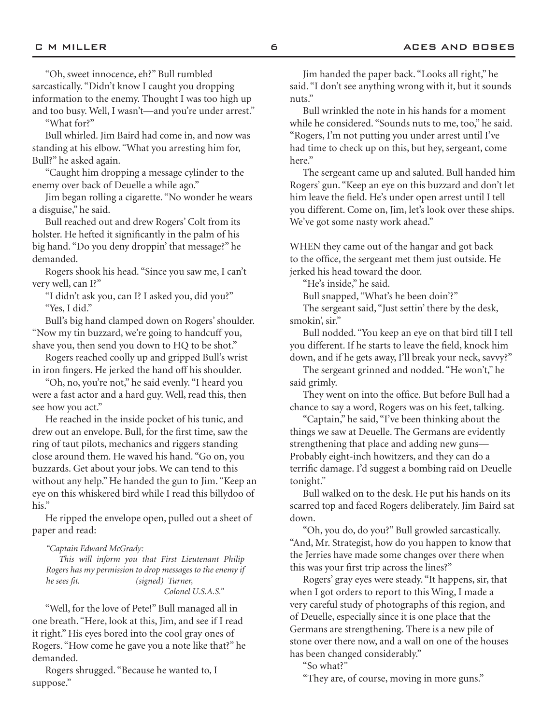"Oh, sweet innocence, eh?" Bull rumbled sarcastically. "Didn't know I caught you dropping information to the enemy. Thought I was too high up and too busy. Well, I wasn't—and you're under arrest."

"What for?"

Bull whirled. Jim Baird had come in, and now was standing at his elbow. "What you arresting him for, Bull?" he asked again.

"Caught him dropping a message cylinder to the enemy over back of Deuelle a while ago."

Jim began rolling a cigarette. "No wonder he wears a disguise," he said.

Bull reached out and drew Rogers' Colt from its holster. He hefted it significantly in the palm of his big hand. "Do you deny droppin' that message?" he demanded.

Rogers shook his head. "Since you saw me, I can't very well, can I?"

"I didn't ask you, can I? I asked you, did you?" "Yes, I did."

Bull's big hand clamped down on Rogers' shoulder. "Now my tin buzzard, we're going to handcuff you, shave you, then send you down to HQ to be shot."

Rogers reached coolly up and gripped Bull's wrist in iron fingers. He jerked the hand off his shoulder.

"Oh, no, you're not," he said evenly. "I heard you were a fast actor and a hard guy. Well, read this, then see how you act."

He reached in the inside pocket of his tunic, and drew out an envelope. Bull, for the first time, saw the ring of taut pilots, mechanics and riggers standing close around them. He waved his hand. "Go on, you buzzards. Get about your jobs. We can tend to this without any help." He handed the gun to Jim. "Keep an eye on this whiskered bird while I read this billydoo of his."

He ripped the envelope open, pulled out a sheet of paper and read:

*"Captain Edward McGrady:*

*This will inform you that First Lieutenant Philip Rogers has my permission to drop messages to the enemy if he sees fit. (signed) Turner, Colonel U.S.A.S."*

"Well, for the love of Pete!" Bull managed all in one breath. "Here, look at this, Jim, and see if I read it right." His eyes bored into the cool gray ones of Rogers. "How come he gave you a note like that?" he demanded.

Rogers shrugged. "Because he wanted to, I suppose."

Jim handed the paper back. "Looks all right," he said. "I don't see anything wrong with it, but it sounds nuts."

Bull wrinkled the note in his hands for a moment while he considered. "Sounds nuts to me, too," he said. "Rogers, I'm not putting you under arrest until I've had time to check up on this, but hey, sergeant, come here."

The sergeant came up and saluted. Bull handed him Rogers' gun. "Keep an eye on this buzzard and don't let him leave the field. He's under open arrest until I tell you different. Come on, Jim, let's look over these ships. We've got some nasty work ahead."

WHEN they came out of the hangar and got back to the office, the sergeant met them just outside. He jerked his head toward the door.

"He's inside," he said.

Bull snapped, "What's he been doin'?"

The sergeant said, "Just settin' there by the desk, smokin', sir."

Bull nodded. "You keep an eye on that bird till I tell you different. If he starts to leave the field, knock him down, and if he gets away, I'll break your neck, savvy?"

The sergeant grinned and nodded. "He won't," he said grimly.

They went on into the office. But before Bull had a chance to say a word, Rogers was on his feet, talking.

"Captain," he said, "I've been thinking about the things we saw at Deuelle. The Germans are evidently strengthening that place and adding new guns— Probably eight-inch howitzers, and they can do a terrific damage. I'd suggest a bombing raid on Deuelle tonight."

Bull walked on to the desk. He put his hands on its scarred top and faced Rogers deliberately. Jim Baird sat down.

"Oh, you do, do you?" Bull growled sarcastically. "And, Mr. Strategist, how do you happen to know that the Jerries have made some changes over there when this was your first trip across the lines?"

Rogers' gray eyes were steady. "It happens, sir, that when I got orders to report to this Wing, I made a very careful study of photographs of this region, and of Deuelle, especially since it is one place that the Germans are strengthening. There is a new pile of stone over there now, and a wall on one of the houses has been changed considerably."

"So what?"

"They are, of course, moving in more guns."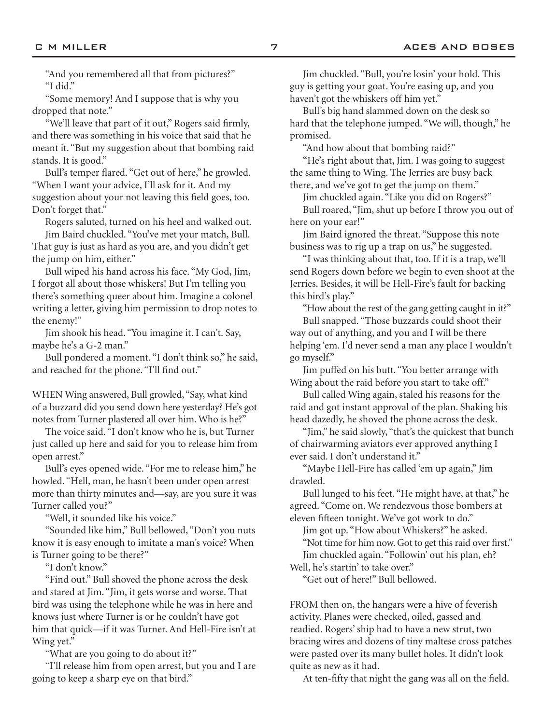"And you remembered all that from pictures?" "I did."

"Some memory! And I suppose that is why you dropped that note."

"We'll leave that part of it out," Rogers said firmly, and there was something in his voice that said that he meant it. "But my suggestion about that bombing raid stands. It is good."

Bull's temper flared. "Get out of here," he growled. "When I want your advice, I'll ask for it. And my suggestion about your not leaving this field goes, too. Don't forget that."

Rogers saluted, turned on his heel and walked out.

Jim Baird chuckled. "You've met your match, Bull. That guy is just as hard as you are, and you didn't get the jump on him, either."

Bull wiped his hand across his face. "My God, Jim, I forgot all about those whiskers! But I'm telling you there's something queer about him. Imagine a colonel writing a letter, giving him permission to drop notes to the enemy!"

Jim shook his head. "You imagine it. I can't. Say, maybe he's a G-2 man."

Bull pondered a moment. "I don't think so," he said, and reached for the phone. "I'll find out."

WHEN Wing answered, Bull growled, "Say, what kind of a buzzard did you send down here yesterday? He's got notes from Turner plastered all over him. Who is he?"

The voice said. "I don't know who he is, but Turner just called up here and said for you to release him from open arrest."

Bull's eyes opened wide. "For me to release him," he howled. "Hell, man, he hasn't been under open arrest more than thirty minutes and—say, are you sure it was Turner called you?"

"Well, it sounded like his voice."

"Sounded like him," Bull bellowed, "Don't you nuts know it is easy enough to imitate a man's voice? When is Turner going to be there?"

"I don't know."

"Find out." Bull shoved the phone across the desk and stared at Jim. "Jim, it gets worse and worse. That bird was using the telephone while he was in here and knows just where Turner is or he couldn't have got him that quick—if it was Turner. And Hell-Fire isn't at Wing yet."

"What are you going to do about it?"

"I'll release him from open arrest, but you and I are going to keep a sharp eye on that bird."

Jim chuckled. "Bull, you're losin' your hold. This guy is getting your goat. You're easing up, and you haven't got the whiskers off him yet."

Bull's big hand slammed down on the desk so hard that the telephone jumped. "We will, though," he promised.

"And how about that bombing raid?"

"He's right about that, Jim. I was going to suggest the same thing to Wing. The Jerries are busy back there, and we've got to get the jump on them."

Jim chuckled again. "Like you did on Rogers?" Bull roared, "Jim, shut up before I throw you out of here on your ear!"

Jim Baird ignored the threat. "Suppose this note business was to rig up a trap on us," he suggested.

"I was thinking about that, too. If it is a trap, we'll send Rogers down before we begin to even shoot at the Jerries. Besides, it will be Hell-Fire's fault for backing this bird's play."

"How about the rest of the gang getting caught in it?" Bull snapped. "Those buzzards could shoot their way out of anything, and you and I will be there

helping 'em. I'd never send a man any place I wouldn't go myself."

Jim puffed on his butt. "You better arrange with Wing about the raid before you start to take off."

Bull called Wing again, staled his reasons for the raid and got instant approval of the plan. Shaking his head dazedly, he shoved the phone across the desk.

"Jim," he said slowly, "that's the quickest that bunch of chairwarming aviators ever approved anything I ever said. I don't understand it."

"Maybe Hell-Fire has called 'em up again," Jim drawled.

Bull lunged to his feet. "He might have, at that," he agreed. "Come on. We rendezvous those bombers at eleven fifteen tonight. We've got work to do."

Jim got up. "How about Whiskers?" he asked. "Not time for him now. Got to get this raid over first." Jim chuckled again. "Followin' out his plan, eh? Well, he's startin' to take over."

"Get out of here!" Bull bellowed.

FROM then on, the hangars were a hive of feverish activity. Planes were checked, oiled, gassed and readied. Rogers' ship had to have a new strut, two bracing wires and dozens of tiny maltese cross patches were pasted over its many bullet holes. It didn't look quite as new as it had.

At ten-fifty that night the gang was all on the field.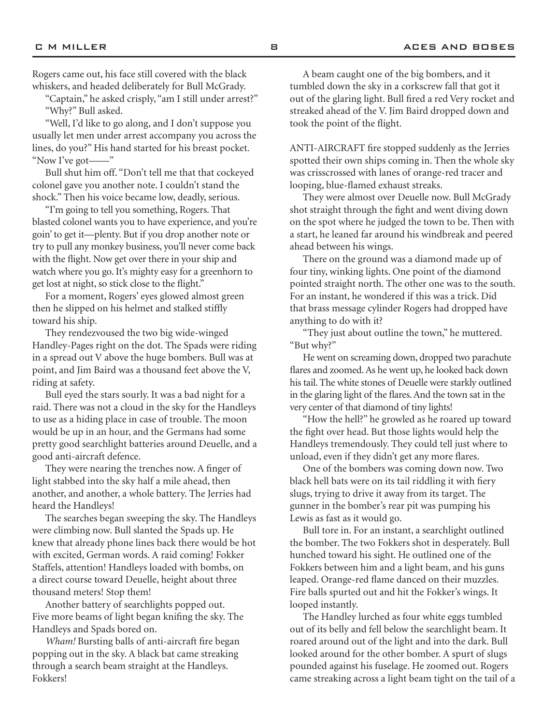Rogers came out, his face still covered with the black whiskers, and headed deliberately for Bull McGrady.

"Captain," he asked crisply, "am I still under arrest?" "Why?" Bull asked.

"Well, I'd like to go along, and I don't suppose you usually let men under arrest accompany you across the lines, do you?" His hand started for his breast pocket. "Now I've got—"

Bull shut him off. "Don't tell me that that cockeyed colonel gave you another note. I couldn't stand the shock." Then his voice became low, deadly, serious.

"I'm going to tell you something, Rogers. That blasted colonel wants you to have experience, and you're goin' to get it—plenty. But if you drop another note or try to pull any monkey business, you'll never come back with the flight. Now get over there in your ship and watch where you go. It's mighty easy for a greenhorn to get lost at night, so stick close to the flight."

For a moment, Rogers' eyes glowed almost green then he slipped on his helmet and stalked stiffly toward his ship.

They rendezvoused the two big wide-winged Handley-Pages right on the dot. The Spads were riding in a spread out V above the huge bombers. Bull was at point, and Jim Baird was a thousand feet above the V, riding at safety.

Bull eyed the stars sourly. It was a bad night for a raid. There was not a cloud in the sky for the Handleys to use as a hiding place in case of trouble. The moon would be up in an hour, and the Germans had some pretty good searchlight batteries around Deuelle, and a good anti-aircraft defence.

They were nearing the trenches now. A finger of light stabbed into the sky half a mile ahead, then another, and another, a whole battery. The Jerries had heard the Handleys!

The searches began sweeping the sky. The Handleys were climbing now. Bull slanted the Spads up. He knew that already phone lines back there would be hot with excited, German words. A raid coming! Fokker Staffels, attention! Handleys loaded with bombs, on a direct course toward Deuelle, height about three thousand meters! Stop them!

Another battery of searchlights popped out. Five more beams of light began knifing the sky. The Handleys and Spads bored on.

*Wham!* Bursting balls of anti-aircraft fire began popping out in the sky. A black bat came streaking through a search beam straight at the Handleys. Fokkers!

A beam caught one of the big bombers, and it tumbled down the sky in a corkscrew fall that got it out of the glaring light. Bull fired a red Very rocket and streaked ahead of the V. Jim Baird dropped down and took the point of the flight.

ANTI-AIRCRAFT fire stopped suddenly as the Jerries spotted their own ships coming in. Then the whole sky was crisscrossed with lanes of orange-red tracer and looping, blue-flamed exhaust streaks.

They were almost over Deuelle now. Bull McGrady shot straight through the fight and went diving down on the spot where he judged the town to be. Then with a start, he leaned far around his windbreak and peered ahead between his wings.

There on the ground was a diamond made up of four tiny, winking lights. One point of the diamond pointed straight north. The other one was to the south. For an instant, he wondered if this was a trick. Did that brass message cylinder Rogers had dropped have anything to do with it?

"They just about outline the town," he muttered. "But why?"

He went on screaming down, dropped two parachute flares and zoomed. As he went up, he looked back down his tail. The white stones of Deuelle were starkly outlined in the glaring light of the flares. And the town sat in the very center of that diamond of tiny lights!

"How the hell?" he growled as he roared up toward the fight over head. But those lights would help the Handleys tremendously. They could tell just where to unload, even if they didn't get any more flares.

One of the bombers was coming down now. Two black hell bats were on its tail riddling it with fiery slugs, trying to drive it away from its target. The gunner in the bomber's rear pit was pumping his Lewis as fast as it would go.

Bull tore in. For an instant, a searchlight outlined the bomber. The two Fokkers shot in desperately. Bull hunched toward his sight. He outlined one of the Fokkers between him and a light beam, and his guns leaped. Orange-red flame danced on their muzzles. Fire balls spurted out and hit the Fokker's wings. It looped instantly.

The Handley lurched as four white eggs tumbled out of its belly and fell below the searchlight beam. It roared around out of the light and into the dark. Bull looked around for the other bomber. A spurt of slugs pounded against his fuselage. He zoomed out. Rogers came streaking across a light beam tight on the tail of a